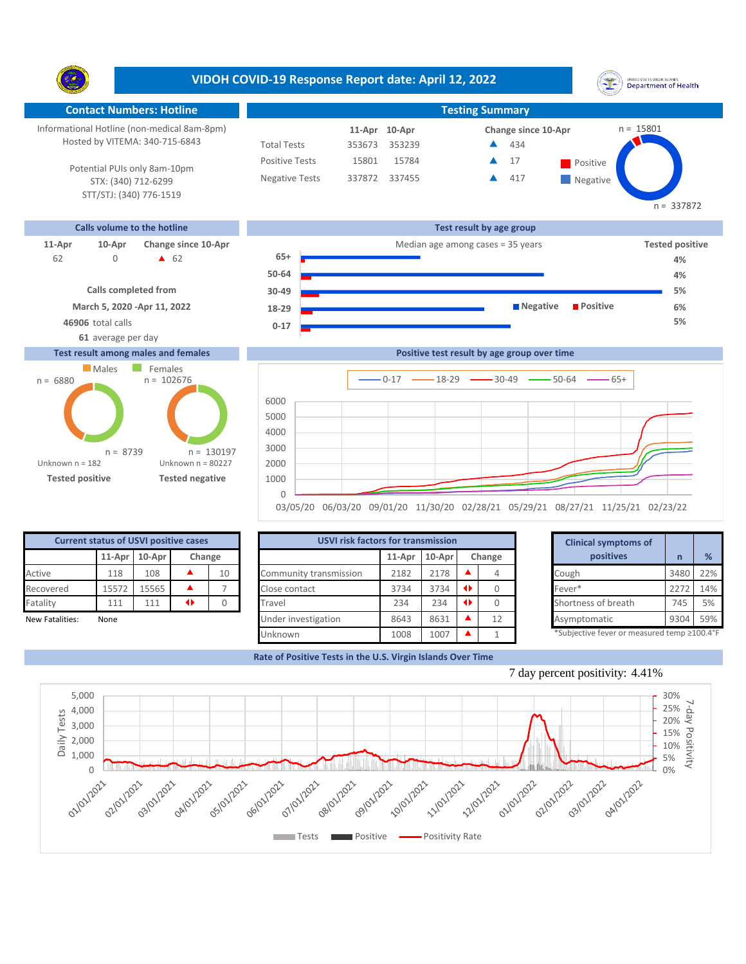Y. **Contact Numbers: Hotline Testing Summary** Informational Hotline (non-medical 8am-8pm) n = 15801 **10-Apr 11-Apr Change since 10-Apr** Hosted by VITEMA: 340-715-6843 Total Tests 353673 353239 434 ▲ Positive Tests 15801 15784 **17** Positive  $\blacktriangle$ 17 Potential PUIs only 8am-10pm Negative Tests 337872 337455 ▲ 417 ▲ **Negative** STX: (340) 712-6299 STT/STJ: (340) 776-1519 **Calls volume to the hotline Test result by age group 11-Apr 10-Apr Change since 10-Apr Change since 10-Apr Change and** *Tested positive* **Median age among cases = 35 years Tested positive 65+** 0 **4** 62 62 **4% 50-64 30-49**

**Confirmed cases**

**0-17 18-29**

Unknown



**46906** total calls **5%**

## **Test result among males and females**

**61** average per day



| Tested positive |                                              |               | Tested negative |    | 1000                                      |        |          |                 |          | 03/05/20 06/03/20 09/01/20 11/30/20 02/28/21 05/29/21 08/27/21 11/25/21 02/23/22 |      |              |
|-----------------|----------------------------------------------|---------------|-----------------|----|-------------------------------------------|--------|----------|-----------------|----------|----------------------------------------------------------------------------------|------|--------------|
|                 | <b>Current status of USVI positive cases</b> |               |                 |    | <b>USVI risk factors for transmission</b> |        |          |                 |          | <b>Clinical symptoms of</b>                                                      |      |              |
|                 |                                              | 11-Apr 10-Apr | Change          |    |                                           | 11-Apr | $10-Apr$ |                 | Change   | positives                                                                        | n    | %            |
| Active          | 118                                          | 108           |                 | 10 | Community transmission                    | 2182   | 2178     |                 | 4        | Cough                                                                            | 3480 | $22^{\circ}$ |
| Recovered       | 15572                                        | 15565         |                 |    | Close contact                             | 3734   | 3734     | $\blacklozenge$ | $\Omega$ | Fever*                                                                           | 2272 | $14^{\circ}$ |
| Fatality        | 111                                          | 111           | ◆               |    | Travel                                    | 234    | 234      | $\blacklozenge$ |          | Shortness of breath                                                              | 745  | 5%           |
|                 |                                              |               |                 |    |                                           |        |          |                 |          |                                                                                  |      |              |

1008 1007 1

|                 | <b>Current status of USVI positive cases</b> |       |   |    | <b>USVI risk factors for transmission</b> |                  |      |                 |              | <b>Clinical symptoms of</b>                 |      |     |
|-----------------|----------------------------------------------|-------|---|----|-------------------------------------------|------------------|------|-----------------|--------------|---------------------------------------------|------|-----|
|                 | $11$ -Apr $10$ -Apr<br>Change                |       |   |    | $11$ -Apr                                 | 10-Apr<br>Change |      | positives       | $\mathsf{n}$ | %                                           |      |     |
| Active          | 118                                          | 108   |   | 10 | Community transmission                    | 2182             | 2178 |                 |              | Cough                                       | 3480 | 22% |
| Recovered       | 15572                                        | 15565 |   |    | Close contact                             | 3734             | 3734 | $\rightarrow$   |              | Fever*                                      | 2272 | 14% |
| Fatality        | 111                                          | 111   | 0 |    | Travel                                    | 234              | 234  | $\blacklozenge$ |              | Shortness of breath                         | 745  | 5%  |
| New Fatalities: | None                                         |       |   |    | Under investigation                       | 8643             | 8631 |                 | 12           | Asymptomatic                                | 9304 | 59% |
|                 |                                              |       |   |    | IInknonun                                 | 1000             | 1007 |                 |              | *Subjective fever or measured temp >100 4°F |      |     |

**Rate of Positive Tests in the U.S. Virgin Islands Over Time**





## **VIDOH COVID-19 Response Report date: April 12, 2022**



**4% 5%**  $n = 337872$ 

**6%**

 $0-17$   $\longrightarrow$  18-29  $\longrightarrow$  30-49  $\longrightarrow$  50-64  $\longrightarrow$  65+

**Positive test result by age group over time**

**Negative Positive**